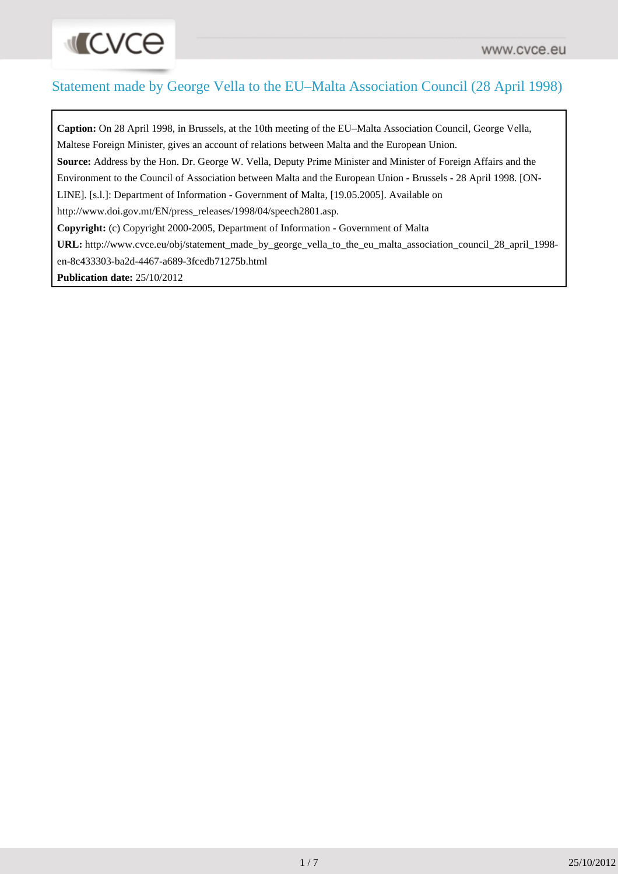#### Statement made by George Vella to the EU–Malta Association Council (28 April 1998)

**INCACE** 

**Caption:** On 28 April 1998, in Brussels, at the 10th meeting of the EU–Malta Association Council, George Vella, Maltese Foreign Minister, gives an account of relations between Malta and the European Union. **Source:** Address by the Hon. Dr. George W. Vella, Deputy Prime Minister and Minister of Foreign Affairs and the Environment to the Council of Association between Malta and the European Union - Brussels - 28 April 1998. [ON-LINE]. [s.l.]: Department of Information - Government of Malta, [19.05.2005]. Available on http://www.doi.gov.mt/EN/press\_releases/1998/04/speech2801.asp. **Copyright:** (c) Copyright 2000-2005, Department of Information - Government of Malta **URL:** [http://www.cvce.eu/obj/statement\\_made\\_by\\_george\\_vella\\_to\\_the\\_eu\\_malta\\_association\\_council\\_28\\_april\\_1998](http://www.cvce.eu/obj/statement_made_by_george_vella_to_the_eu_malta_association_council_28_april_1998-en-8c433303-ba2d-4467-a689-3fcedb71275b.html) [en-8c433303-ba2d-4467-a689-3fcedb71275b.html](http://www.cvce.eu/obj/statement_made_by_george_vella_to_the_eu_malta_association_council_28_april_1998-en-8c433303-ba2d-4467-a689-3fcedb71275b.html) **Publication date:** 25/10/2012

1 / 7 25/10/2012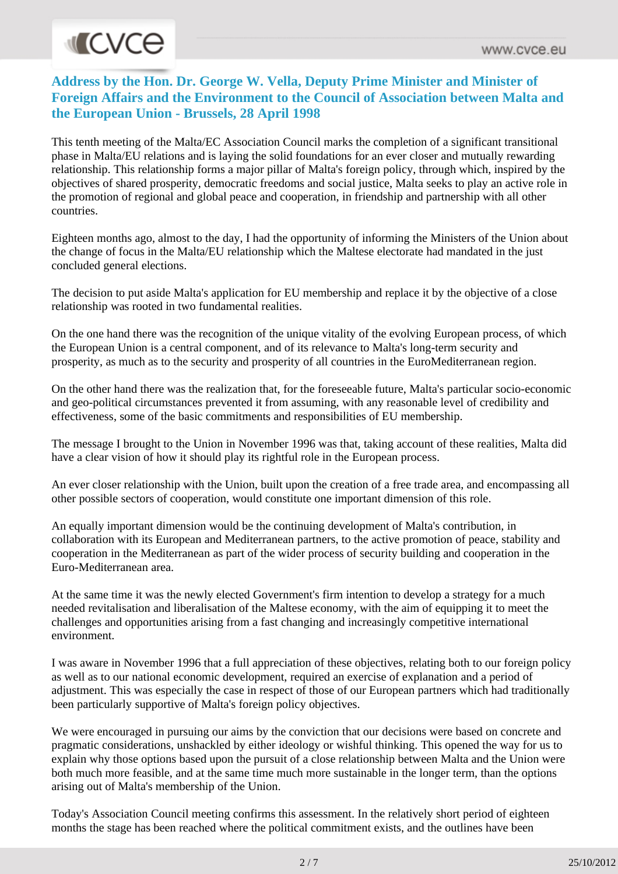# **INCVCe**

#### **Address by the Hon. Dr. George W. Vella, Deputy Prime Minister and Minister of Foreign Affairs and the Environment to the Council of Association between Malta and the European Union - Brussels, 28 April 1998**

This tenth meeting of the Malta/EC Association Council marks the completion of a significant transitional phase in Malta/EU relations and is laying the solid foundations for an ever closer and mutually rewarding relationship. This relationship forms a major pillar of Malta's foreign policy, through which, inspired by the objectives of shared prosperity, democratic freedoms and social justice, Malta seeks to play an active role in the promotion of regional and global peace and cooperation, in friendship and partnership with all other countries.

Eighteen months ago, almost to the day, I had the opportunity of informing the Ministers of the Union about the change of focus in the Malta/EU relationship which the Maltese electorate had mandated in the just concluded general elections.

The decision to put aside Malta's application for EU membership and replace it by the objective of a close relationship was rooted in two fundamental realities.

On the one hand there was the recognition of the unique vitality of the evolving European process, of which the European Union is a central component, and of its relevance to Malta's long-term security and prosperity, as much as to the security and prosperity of all countries in the EuroMediterranean region.

On the other hand there was the realization that, for the foreseeable future, Malta's particular socio-economic and geo-political circumstances prevented it from assuming, with any reasonable level of credibility and effectiveness, some of the basic commitments and responsibilities of EU membership.

The message I brought to the Union in November 1996 was that, taking account of these realities, Malta did have a clear vision of how it should play its rightful role in the European process.

An ever closer relationship with the Union, built upon the creation of a free trade area, and encompassing all other possible sectors of cooperation, would constitute one important dimension of this role.

An equally important dimension would be the continuing development of Malta's contribution, in collaboration with its European and Mediterranean partners, to the active promotion of peace, stability and cooperation in the Mediterranean as part of the wider process of security building and cooperation in the Euro-Mediterranean area.

At the same time it was the newly elected Government's firm intention to develop a strategy for a much needed revitalisation and liberalisation of the Maltese economy, with the aim of equipping it to meet the challenges and opportunities arising from a fast changing and increasingly competitive international environment.

I was aware in November 1996 that a full appreciation of these objectives, relating both to our foreign policy as well as to our national economic development, required an exercise of explanation and a period of adjustment. This was especially the case in respect of those of our European partners which had traditionally been particularly supportive of Malta's foreign policy objectives.

We were encouraged in pursuing our aims by the conviction that our decisions were based on concrete and pragmatic considerations, unshackled by either ideology or wishful thinking. This opened the way for us to explain why those options based upon the pursuit of a close relationship between Malta and the Union were both much more feasible, and at the same time much more sustainable in the longer term, than the options arising out of Malta's membership of the Union.

Today's Association Council meeting confirms this assessment. In the relatively short period of eighteen months the stage has been reached where the political commitment exists, and the outlines have been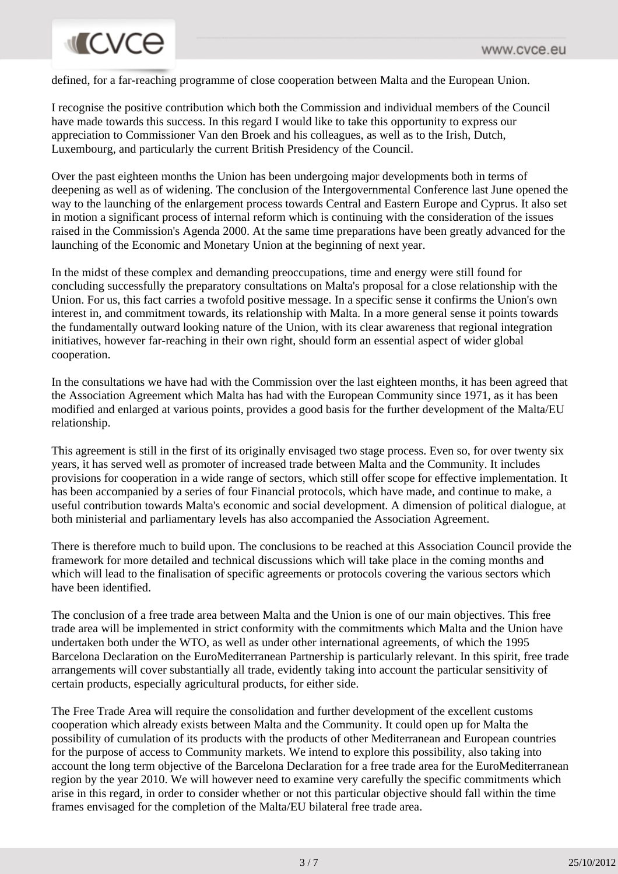## **MICVCO**

defined, for a far-reaching programme of close cooperation between Malta and the European Union.

I recognise the positive contribution which both the Commission and individual members of the Council have made towards this success. In this regard I would like to take this opportunity to express our appreciation to Commissioner Van den Broek and his colleagues, as well as to the Irish, Dutch, Luxembourg, and particularly the current British Presidency of the Council.

Over the past eighteen months the Union has been undergoing major developments both in terms of deepening as well as of widening. The conclusion of the Intergovernmental Conference last June opened the way to the launching of the enlargement process towards Central and Eastern Europe and Cyprus. It also set in motion a significant process of internal reform which is continuing with the consideration of the issues raised in the Commission's Agenda 2000. At the same time preparations have been greatly advanced for the launching of the Economic and Monetary Union at the beginning of next year.

In the midst of these complex and demanding preoccupations, time and energy were still found for concluding successfully the preparatory consultations on Malta's proposal for a close relationship with the Union. For us, this fact carries a twofold positive message. In a specific sense it confirms the Union's own interest in, and commitment towards, its relationship with Malta. In a more general sense it points towards the fundamentally outward looking nature of the Union, with its clear awareness that regional integration initiatives, however far-reaching in their own right, should form an essential aspect of wider global cooperation.

In the consultations we have had with the Commission over the last eighteen months, it has been agreed that the Association Agreement which Malta has had with the European Community since 1971, as it has been modified and enlarged at various points, provides a good basis for the further development of the Malta/EU relationship.

This agreement is still in the first of its originally envisaged two stage process. Even so, for over twenty six years, it has served well as promoter of increased trade between Malta and the Community. It includes provisions for cooperation in a wide range of sectors, which still offer scope for effective implementation. It has been accompanied by a series of four Financial protocols, which have made, and continue to make, a useful contribution towards Malta's economic and social development. A dimension of political dialogue, at both ministerial and parliamentary levels has also accompanied the Association Agreement.

There is therefore much to build upon. The conclusions to be reached at this Association Council provide the framework for more detailed and technical discussions which will take place in the coming months and which will lead to the finalisation of specific agreements or protocols covering the various sectors which have been identified.

The conclusion of a free trade area between Malta and the Union is one of our main objectives. This free trade area will be implemented in strict conformity with the commitments which Malta and the Union have undertaken both under the WTO, as well as under other international agreements, of which the 1995 Barcelona Declaration on the EuroMediterranean Partnership is particularly relevant. In this spirit, free trade arrangements will cover substantially all trade, evidently taking into account the particular sensitivity of certain products, especially agricultural products, for either side.

The Free Trade Area will require the consolidation and further development of the excellent customs cooperation which already exists between Malta and the Community. It could open up for Malta the possibility of cumulation of its products with the products of other Mediterranean and European countries for the purpose of access to Community markets. We intend to explore this possibility, also taking into account the long term objective of the Barcelona Declaration for a free trade area for the EuroMediterranean region by the year 2010. We will however need to examine very carefully the specific commitments which arise in this regard, in order to consider whether or not this particular objective should fall within the time frames envisaged for the completion of the Malta/EU bilateral free trade area.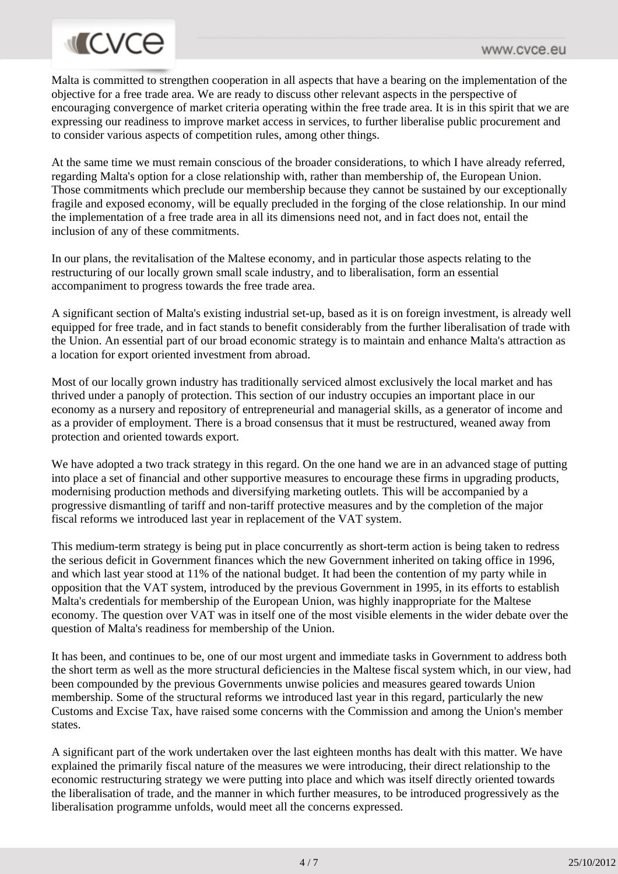## **MICVCE**

Malta is committed to strengthen cooperation in all aspects that have a bearing on the implementation of the objective for a free trade area. We are ready to discuss other relevant aspects in the perspective of encouraging convergence of market criteria operating within the free trade area. It is in this spirit that we are expressing our readiness to improve market access in services, to further liberalise public procurement and to consider various aspects of competition rules, among other things.

At the same time we must remain conscious of the broader considerations, to which I have already referred, regarding Malta's option for a close relationship with, rather than membership of, the European Union. Those commitments which preclude our membership because they cannot be sustained by our exceptionally fragile and exposed economy, will be equally precluded in the forging of the close relationship. In our mind the implementation of a free trade area in all its dimensions need not, and in fact does not, entail the inclusion of any of these commitments.

In our plans, the revitalisation of the Maltese economy, and in particular those aspects relating to the restructuring of our locally grown small scale industry, and to liberalisation, form an essential accompaniment to progress towards the free trade area.

A significant section of Malta's existing industrial set-up, based as it is on foreign investment, is already well equipped for free trade, and in fact stands to benefit considerably from the further liberalisation of trade with the Union. An essential part of our broad economic strategy is to maintain and enhance Malta's attraction as a location for export oriented investment from abroad.

Most of our locally grown industry has traditionally serviced almost exclusively the local market and has thrived under a panoply of protection. This section of our industry occupies an important place in our economy as a nursery and repository of entrepreneurial and managerial skills, as a generator of income and as a provider of employment. There is a broad consensus that it must be restructured, weaned away from protection and oriented towards export.

We have adopted a two track strategy in this regard. On the one hand we are in an advanced stage of putting into place a set of financial and other supportive measures to encourage these firms in upgrading products, modernising production methods and diversifying marketing outlets. This will be accompanied by a progressive dismantling of tariff and non-tariff protective measures and by the completion of the major fiscal reforms we introduced last year in replacement of the VAT system.

This medium-term strategy is being put in place concurrently as short-term action is being taken to redress the serious deficit in Government finances which the new Government inherited on taking office in 1996, and which last year stood at 11% of the national budget. It had been the contention of my party while in opposition that the VAT system, introduced by the previous Government in 1995, in its efforts to establish Malta's credentials for membership of the European Union, was highly inappropriate for the Maltese economy. The question over VAT was in itself one of the most visible elements in the wider debate over the question of Malta's readiness for membership of the Union.

It has been, and continues to be, one of our most urgent and immediate tasks in Government to address both the short term as well as the more structural deficiencies in the Maltese fiscal system which, in our view, had been compounded by the previous Governments unwise policies and measures geared towards Union membership. Some of the structural reforms we introduced last year in this regard, particularly the new Customs and Excise Tax, have raised some concerns with the Commission and among the Union's member states.

A significant part of the work undertaken over the last eighteen months has dealt with this matter. We have explained the primarily fiscal nature of the measures we were introducing, their direct relationship to the economic restructuring strategy we were putting into place and which was itself directly oriented towards the liberalisation of trade, and the manner in which further measures, to be introduced progressively as the liberalisation programme unfolds, would meet all the concerns expressed.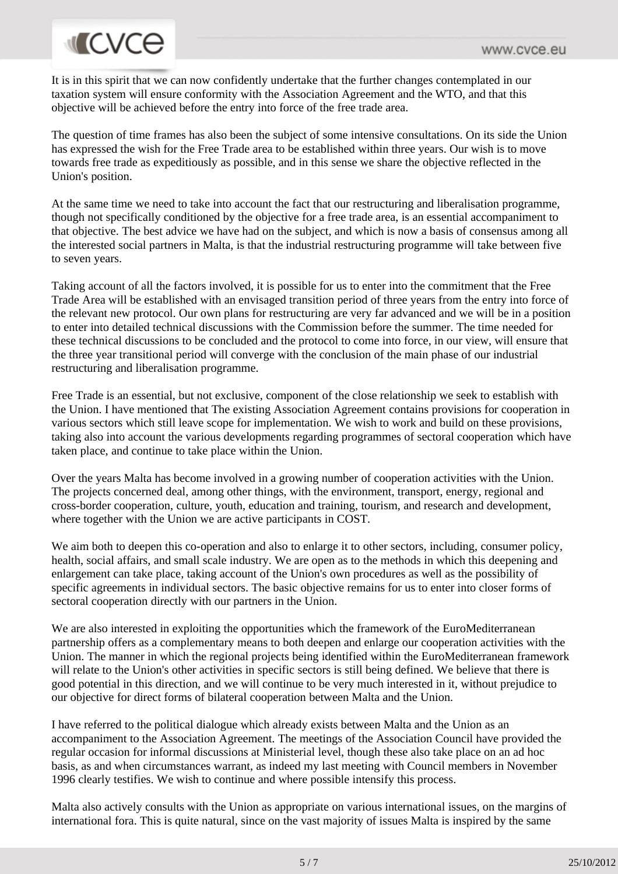# **INCVCE**

It is in this spirit that we can now confidently undertake that the further changes contemplated in our taxation system will ensure conformity with the Association Agreement and the WTO, and that this objective will be achieved before the entry into force of the free trade area.

The question of time frames has also been the subject of some intensive consultations. On its side the Union has expressed the wish for the Free Trade area to be established within three years. Our wish is to move towards free trade as expeditiously as possible, and in this sense we share the objective reflected in the Union's position.

At the same time we need to take into account the fact that our restructuring and liberalisation programme, though not specifically conditioned by the objective for a free trade area, is an essential accompaniment to that objective. The best advice we have had on the subject, and which is now a basis of consensus among all the interested social partners in Malta, is that the industrial restructuring programme will take between five to seven years.

Taking account of all the factors involved, it is possible for us to enter into the commitment that the Free Trade Area will be established with an envisaged transition period of three years from the entry into force of the relevant new protocol. Our own plans for restructuring are very far advanced and we will be in a position to enter into detailed technical discussions with the Commission before the summer. The time needed for these technical discussions to be concluded and the protocol to come into force, in our view, will ensure that the three year transitional period will converge with the conclusion of the main phase of our industrial restructuring and liberalisation programme.

Free Trade is an essential, but not exclusive, component of the close relationship we seek to establish with the Union. I have mentioned that The existing Association Agreement contains provisions for cooperation in various sectors which still leave scope for implementation. We wish to work and build on these provisions, taking also into account the various developments regarding programmes of sectoral cooperation which have taken place, and continue to take place within the Union.

Over the years Malta has become involved in a growing number of cooperation activities with the Union. The projects concerned deal, among other things, with the environment, transport, energy, regional and cross-border cooperation, culture, youth, education and training, tourism, and research and development, where together with the Union we are active participants in COST.

We aim both to deepen this co-operation and also to enlarge it to other sectors, including, consumer policy, health, social affairs, and small scale industry. We are open as to the methods in which this deepening and enlargement can take place, taking account of the Union's own procedures as well as the possibility of specific agreements in individual sectors. The basic objective remains for us to enter into closer forms of sectoral cooperation directly with our partners in the Union.

We are also interested in exploiting the opportunities which the framework of the EuroMediterranean partnership offers as a complementary means to both deepen and enlarge our cooperation activities with the Union. The manner in which the regional projects being identified within the EuroMediterranean framework will relate to the Union's other activities in specific sectors is still being defined. We believe that there is good potential in this direction, and we will continue to be very much interested in it, without prejudice to our objective for direct forms of bilateral cooperation between Malta and the Union.

I have referred to the political dialogue which already exists between Malta and the Union as an accompaniment to the Association Agreement. The meetings of the Association Council have provided the regular occasion for informal discussions at Ministerial level, though these also take place on an ad hoc basis, as and when circumstances warrant, as indeed my last meeting with Council members in November 1996 clearly testifies. We wish to continue and where possible intensify this process.

Malta also actively consults with the Union as appropriate on various international issues, on the margins of international fora. This is quite natural, since on the vast majority of issues Malta is inspired by the same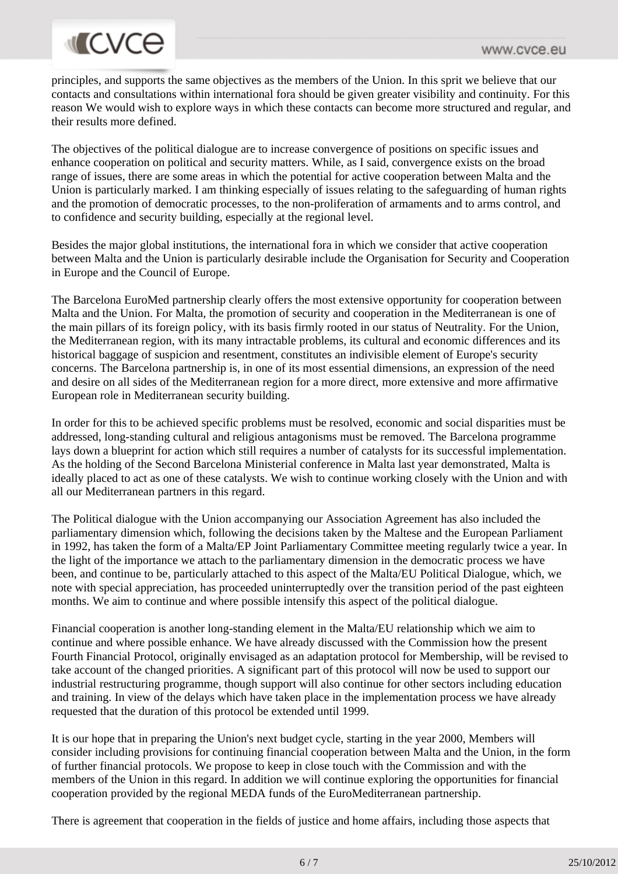## **INCVCE**

principles, and supports the same objectives as the members of the Union. In this sprit we believe that our contacts and consultations within international fora should be given greater visibility and continuity. For this reason We would wish to explore ways in which these contacts can become more structured and regular, and their results more defined.

The objectives of the political dialogue are to increase convergence of positions on specific issues and enhance cooperation on political and security matters. While, as I said, convergence exists on the broad range of issues, there are some areas in which the potential for active cooperation between Malta and the Union is particularly marked. I am thinking especially of issues relating to the safeguarding of human rights and the promotion of democratic processes, to the non-proliferation of armaments and to arms control, and to confidence and security building, especially at the regional level.

Besides the major global institutions, the international fora in which we consider that active cooperation between Malta and the Union is particularly desirable include the Organisation for Security and Cooperation in Europe and the Council of Europe.

The Barcelona EuroMed partnership clearly offers the most extensive opportunity for cooperation between Malta and the Union. For Malta, the promotion of security and cooperation in the Mediterranean is one of the main pillars of its foreign policy, with its basis firmly rooted in our status of Neutrality. For the Union, the Mediterranean region, with its many intractable problems, its cultural and economic differences and its historical baggage of suspicion and resentment, constitutes an indivisible element of Europe's security concerns. The Barcelona partnership is, in one of its most essential dimensions, an expression of the need and desire on all sides of the Mediterranean region for a more direct, more extensive and more affirmative European role in Mediterranean security building.

In order for this to be achieved specific problems must be resolved, economic and social disparities must be addressed, long-standing cultural and religious antagonisms must be removed. The Barcelona programme lays down a blueprint for action which still requires a number of catalysts for its successful implementation. As the holding of the Second Barcelona Ministerial conference in Malta last year demonstrated, Malta is ideally placed to act as one of these catalysts. We wish to continue working closely with the Union and with all our Mediterranean partners in this regard.

The Political dialogue with the Union accompanying our Association Agreement has also included the parliamentary dimension which, following the decisions taken by the Maltese and the European Parliament in 1992, has taken the form of a Malta/EP Joint Parliamentary Committee meeting regularly twice a year. In the light of the importance we attach to the parliamentary dimension in the democratic process we have been, and continue to be, particularly attached to this aspect of the Malta/EU Political Dialogue, which, we note with special appreciation, has proceeded uninterruptedly over the transition period of the past eighteen months. We aim to continue and where possible intensify this aspect of the political dialogue.

Financial cooperation is another long-standing element in the Malta/EU relationship which we aim to continue and where possible enhance. We have already discussed with the Commission how the present Fourth Financial Protocol, originally envisaged as an adaptation protocol for Membership, will be revised to take account of the changed priorities. A significant part of this protocol will now be used to support our industrial restructuring programme, though support will also continue for other sectors including education and training. In view of the delays which have taken place in the implementation process we have already requested that the duration of this protocol be extended until 1999.

It is our hope that in preparing the Union's next budget cycle, starting in the year 2000, Members will consider including provisions for continuing financial cooperation between Malta and the Union, in the form of further financial protocols. We propose to keep in close touch with the Commission and with the members of the Union in this regard. In addition we will continue exploring the opportunities for financial cooperation provided by the regional MEDA funds of the EuroMediterranean partnership.

There is agreement that cooperation in the fields of justice and home affairs, including those aspects that